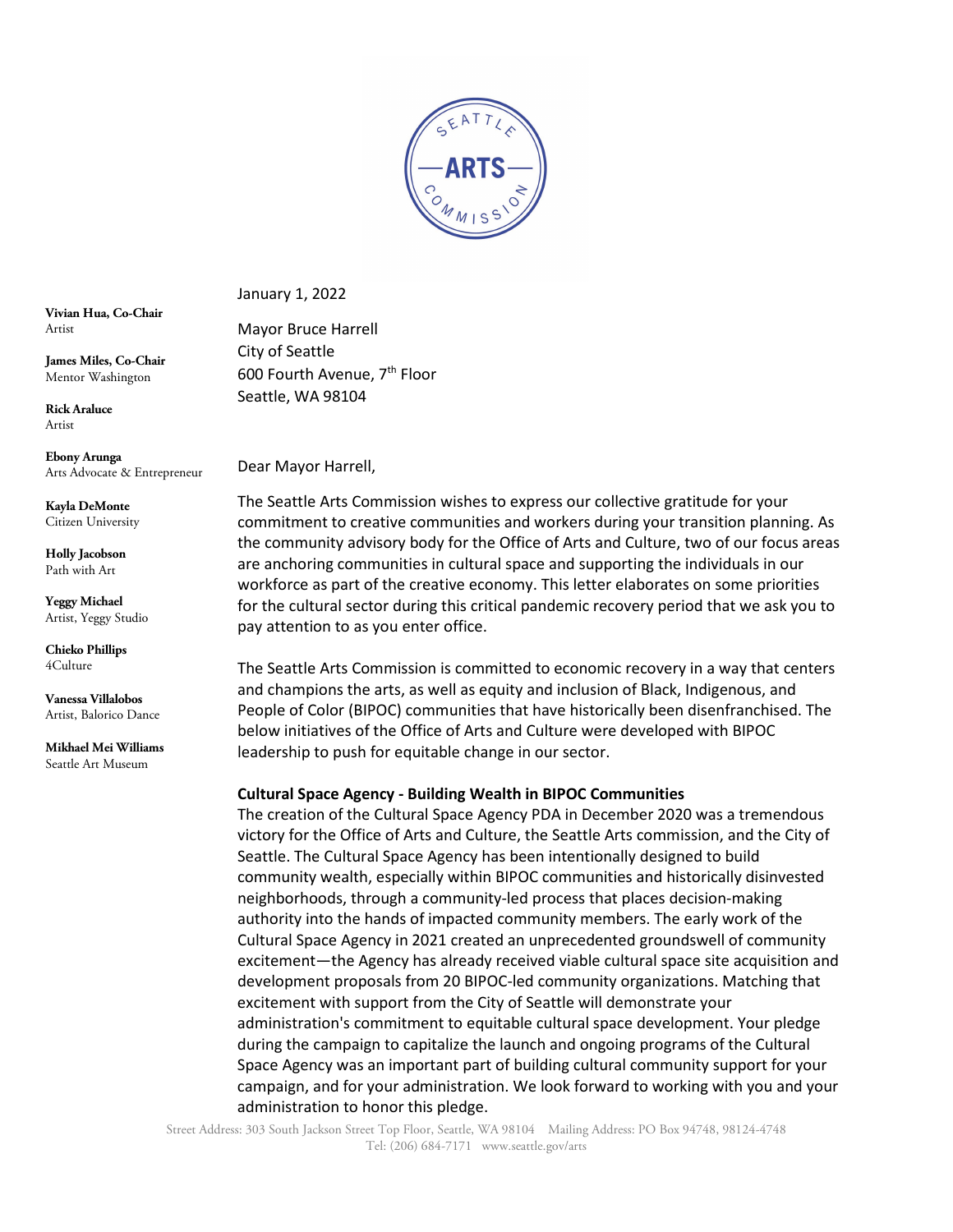

January 1, 2022

Mayor Bruce Harrell City of Seattle 600 Fourth Avenue, 7th Floor Seattle, WA 98104

**Vivian Hua, Co-Chair** Artist

**James Miles, Co-Chair** Mentor Washington

**Rick Araluce** Artist

**Ebony Arunga** Arts Advocate & Entrepreneur

**Kayla DeMonte** Citizen University

**Holly Jacobson**  Path with Art

**Yeggy Michael** Artist, Yeggy Studio

**Chieko Phillips** 4Culture

**Vanessa Villalobos** Artist, Balorico Dance

**Mikhael Mei Williams** Seattle Art Museum

Dear Mayor Harrell,

The Seattle Arts Commission wishes to express our collective gratitude for your commitment to creative communities and workers during your transition planning. As the community advisory body for the Office of Arts and Culture, two of our focus areas are anchoring communities in cultural space and supporting the individuals in our workforce as part of the creative economy. This letter elaborates on some priorities for the cultural sector during this critical pandemic recovery period that we ask you to pay attention to as you enter office.

The Seattle Arts Commission is committed to economic recovery in a way that centers and champions the arts, as well as equity and inclusion of Black, Indigenous, and People of Color (BIPOC) communities that have historically been disenfranchised. The below initiatives of the Office of Arts and Culture were developed with BIPOC leadership to push for equitable change in our sector.

## **Cultural Space Agency - Building Wealth in BIPOC Communities**

The creation of the Cultural Space Agency PDA in December 2020 was a tremendous victory for the Office of Arts and Culture, the Seattle Arts commission, and the City of Seattle. The Cultural Space Agency has been intentionally designed to build community wealth, especially within BIPOC communities and historically disinvested neighborhoods, through a community-led process that places decision-making authority into the hands of impacted community members. The early work of the Cultural Space Agency in 2021 created an unprecedented groundswell of community excitement—the Agency has already received viable cultural space site acquisition and development proposals from 20 BIPOC-led community organizations. Matching that excitement with support from the City of Seattle will demonstrate your administration's commitment to equitable cultural space development. Your pledge during the campaign to capitalize the launch and ongoing programs of the Cultural Space Agency was an important part of building cultural community support for your campaign, and for your administration. We look forward to working with you and your administration to honor this pledge.

Street Address: 303 South Jackson Street Top Floor, Seattle, WA 98104 Mailing Address: PO Box 94748, 98124-4748 Tel: (206) 684-7171 www.seattle.gov/arts